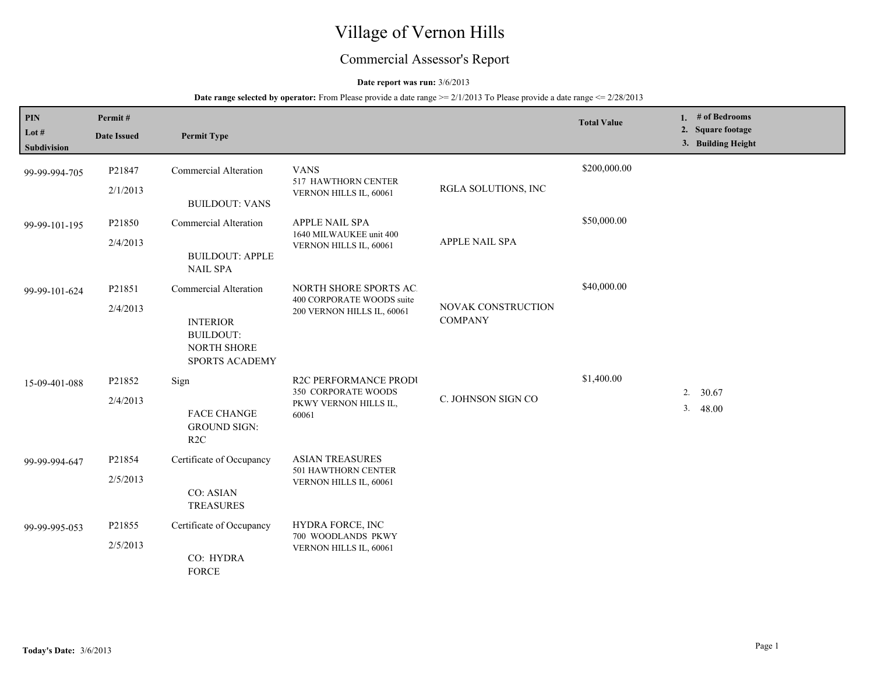# Village of Vernon Hills

## Commercial Assessor's Report

## **Date report was run:** 3/6/2013

| PIN<br>Lot $#$<br><b>Subdivision</b> | Permit#<br><b>Date Issued</b> | <b>Permit Type</b>                                                                                   |                                                                                       |                                      | <b>Total Value</b> |    | 1. # of Bedrooms<br>2. Square footage<br>3. Building Height |
|--------------------------------------|-------------------------------|------------------------------------------------------------------------------------------------------|---------------------------------------------------------------------------------------|--------------------------------------|--------------------|----|-------------------------------------------------------------|
| 99-99-994-705                        | P21847<br>2/1/2013            | <b>Commercial Alteration</b><br><b>BUILDOUT: VANS</b>                                                | <b>VANS</b><br>517 HAWTHORN CENTER<br>VERNON HILLS IL, 60061                          | RGLA SOLUTIONS, INC                  | \$200,000.00       |    |                                                             |
| 99-99-101-195                        | P21850<br>2/4/2013            | <b>Commercial Alteration</b><br><b>BUILDOUT: APPLE</b><br><b>NAIL SPA</b>                            | APPLE NAIL SPA<br>1640 MILWAUKEE unit 400<br>VERNON HILLS IL, 60061                   | APPLE NAIL SPA                       | \$50,000.00        |    |                                                             |
| 99-99-101-624                        | P21851<br>2/4/2013            | <b>Commercial Alteration</b><br><b>INTERIOR</b><br><b>BUILDOUT:</b><br>NORTH SHORE<br>SPORTS ACADEMY | NORTH SHORE SPORTS AC.<br>400 CORPORATE WOODS suite<br>200 VERNON HILLS IL, 60061     | NOVAK CONSTRUCTION<br><b>COMPANY</b> | \$40,000.00        |    |                                                             |
| 15-09-401-088                        | P21852<br>2/4/2013            | Sign<br><b>FACE CHANGE</b><br><b>GROUND SIGN:</b><br>R2C                                             | <b>R2C PERFORMANCE PRODI</b><br>350 CORPORATE WOODS<br>PKWY VERNON HILLS IL,<br>60061 | C. JOHNSON SIGN CO                   | \$1,400.00         | 3. | 30.67<br>2.<br>48.00                                        |
| 99-99-994-647                        | P21854<br>2/5/2013            | Certificate of Occupancy<br><b>CO: ASIAN</b><br><b>TREASURES</b>                                     | <b>ASIAN TREASURES</b><br>501 HAWTHORN CENTER<br>VERNON HILLS IL, 60061               |                                      |                    |    |                                                             |
| 99-99-995-053                        | P21855<br>2/5/2013            | Certificate of Occupancy<br>CO: HYDRA<br><b>FORCE</b>                                                | HYDRA FORCE, INC<br>700 WOODLANDS PKWY<br>VERNON HILLS IL, 60061                      |                                      |                    |    |                                                             |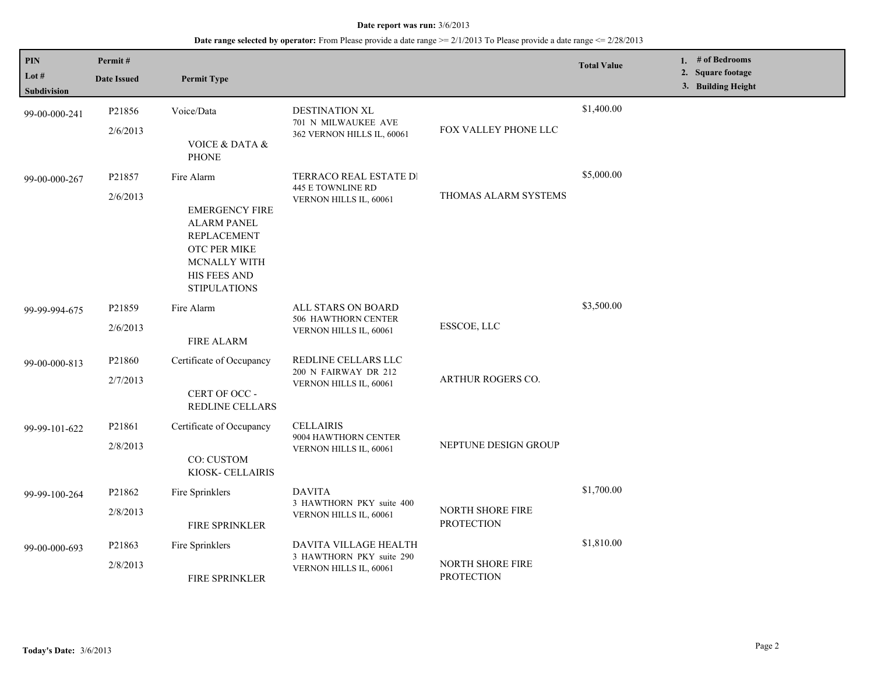| <b>PIN</b><br>Lot $#$<br><b>Subdivision</b> | Permit#<br><b>Date Issued</b> | <b>Permit Type</b>                                                                                                                                            |                                                                             |                                       | <b>Total Value</b> | 1. # of Bedrooms<br>2. Square footage<br>3. Building Height |
|---------------------------------------------|-------------------------------|---------------------------------------------------------------------------------------------------------------------------------------------------------------|-----------------------------------------------------------------------------|---------------------------------------|--------------------|-------------------------------------------------------------|
| 99-00-000-241                               | P21856<br>2/6/2013            | Voice/Data<br><b>VOICE &amp; DATA &amp;</b><br><b>PHONE</b>                                                                                                   | DESTINATION XL<br>701 N MILWAUKEE AVE<br>362 VERNON HILLS IL, 60061         | FOX VALLEY PHONE LLC                  | \$1,400.00         |                                                             |
| 99-00-000-267                               | P21857<br>2/6/2013            | Fire Alarm<br><b>EMERGENCY FIRE</b><br><b>ALARM PANEL</b><br><b>REPLACEMENT</b><br>OTC PER MIKE<br>MCNALLY WITH<br><b>HIS FEES AND</b><br><b>STIPULATIONS</b> | TERRACO REAL ESTATE DI<br>445 E TOWNLINE RD<br>VERNON HILLS IL, 60061       | THOMAS ALARM SYSTEMS                  | \$5,000.00         |                                                             |
| 99-99-994-675                               | P21859<br>2/6/2013            | Fire Alarm<br>FIRE ALARM                                                                                                                                      | ALL STARS ON BOARD<br>506 HAWTHORN CENTER<br>VERNON HILLS IL, 60061         | ESSCOE, LLC                           | \$3,500.00         |                                                             |
| 99-00-000-813                               | P21860<br>2/7/2013            | Certificate of Occupancy<br>CERT OF OCC -<br>REDLINE CELLARS                                                                                                  | REDLINE CELLARS LLC<br>200 N FAIRWAY DR 212<br>VERNON HILLS IL, 60061       | ARTHUR ROGERS CO.                     |                    |                                                             |
| 99-99-101-622                               | P21861<br>2/8/2013            | Certificate of Occupancy<br>CO: CUSTOM<br>KIOSK- CELLAIRIS                                                                                                    | <b>CELLAIRIS</b><br>9004 HAWTHORN CENTER<br>VERNON HILLS IL, 60061          | NEPTUNE DESIGN GROUP                  |                    |                                                             |
| 99-99-100-264                               | P21862<br>2/8/2013            | Fire Sprinklers<br>FIRE SPRINKLER                                                                                                                             | <b>DAVITA</b><br>3 HAWTHORN PKY suite 400<br>VERNON HILLS IL, 60061         | NORTH SHORE FIRE<br><b>PROTECTION</b> | \$1,700.00         |                                                             |
| 99-00-000-693                               | P21863<br>2/8/2013            | Fire Sprinklers<br>FIRE SPRINKLER                                                                                                                             | DAVITA VILLAGE HEALTH<br>3 HAWTHORN PKY suite 290<br>VERNON HILLS IL, 60061 | NORTH SHORE FIRE<br><b>PROTECTION</b> | \$1,810.00         |                                                             |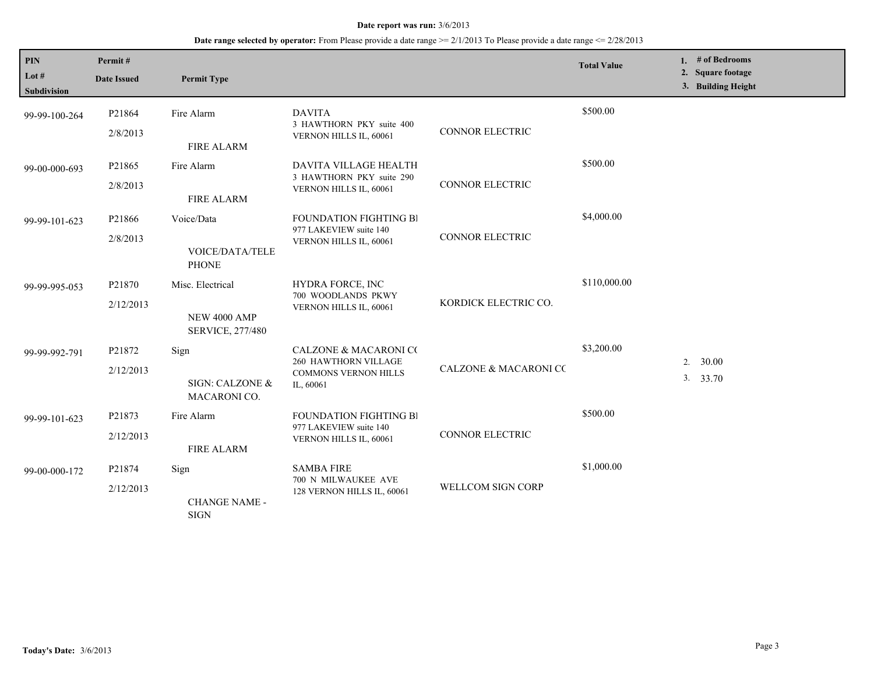| <b>PIN</b><br>Lot $#$<br><b>Subdivision</b> | Permit#<br><b>Date Issued</b> | <b>Permit Type</b>                                                 |                                                                                                      |                                  | <b>Total Value</b> |    | 1. # of Bedrooms<br>2. Square footage<br>3. Building Height |
|---------------------------------------------|-------------------------------|--------------------------------------------------------------------|------------------------------------------------------------------------------------------------------|----------------------------------|--------------------|----|-------------------------------------------------------------|
| 99-99-100-264                               | P21864<br>2/8/2013            | Fire Alarm<br><b>FIRE ALARM</b>                                    | <b>DAVITA</b><br>3 HAWTHORN PKY suite 400<br>VERNON HILLS IL, 60061                                  | <b>CONNOR ELECTRIC</b>           | \$500.00           |    |                                                             |
| 99-00-000-693                               | P21865<br>2/8/2013            | Fire Alarm<br><b>FIRE ALARM</b>                                    | DAVITA VILLAGE HEALTH<br>3 HAWTHORN PKY suite 290<br>VERNON HILLS IL, 60061                          | <b>CONNOR ELECTRIC</b>           | \$500.00           |    |                                                             |
| 99-99-101-623                               | P21866<br>2/8/2013            | Voice/Data<br><b>VOICE/DATA/TELE</b><br><b>PHONE</b>               | <b>FOUNDATION FIGHTING BI</b><br>977 LAKEVIEW suite 140<br>VERNON HILLS IL, 60061                    | <b>CONNOR ELECTRIC</b>           | \$4,000.00         |    |                                                             |
| 99-99-995-053                               | P21870<br>2/12/2013           | Misc. Electrical<br><b>NEW 4000 AMP</b><br><b>SERVICE, 277/480</b> | <b>HYDRA FORCE, INC</b><br>700 WOODLANDS PKWY<br>VERNON HILLS IL, 60061                              | KORDICK ELECTRIC CO.             | \$110,000.00       |    |                                                             |
| 99-99-992-791                               | P21872<br>2/12/2013           | Sign<br>SIGN: CALZONE &<br>MACARONI CO.                            | <b>CALZONE &amp; MACARONI CO</b><br>260 HAWTHORN VILLAGE<br><b>COMMONS VERNON HILLS</b><br>IL, 60061 | <b>CALZONE &amp; MACARONI CC</b> | \$3,200.00         | 2. | 30.00<br>3. 33.70                                           |
| 99-99-101-623                               | P21873<br>2/12/2013           | Fire Alarm<br><b>FIRE ALARM</b>                                    | <b>FOUNDATION FIGHTING BI</b><br>977 LAKEVIEW suite 140<br>VERNON HILLS IL, 60061                    | <b>CONNOR ELECTRIC</b>           | \$500.00           |    |                                                             |
| 99-00-000-172                               | P21874<br>2/12/2013           | Sign<br><b>CHANGE NAME -</b><br><b>SIGN</b>                        | <b>SAMBA FIRE</b><br>700 N MILWAUKEE AVE<br>128 VERNON HILLS IL, 60061                               | WELLCOM SIGN CORP                | \$1,000.00         |    |                                                             |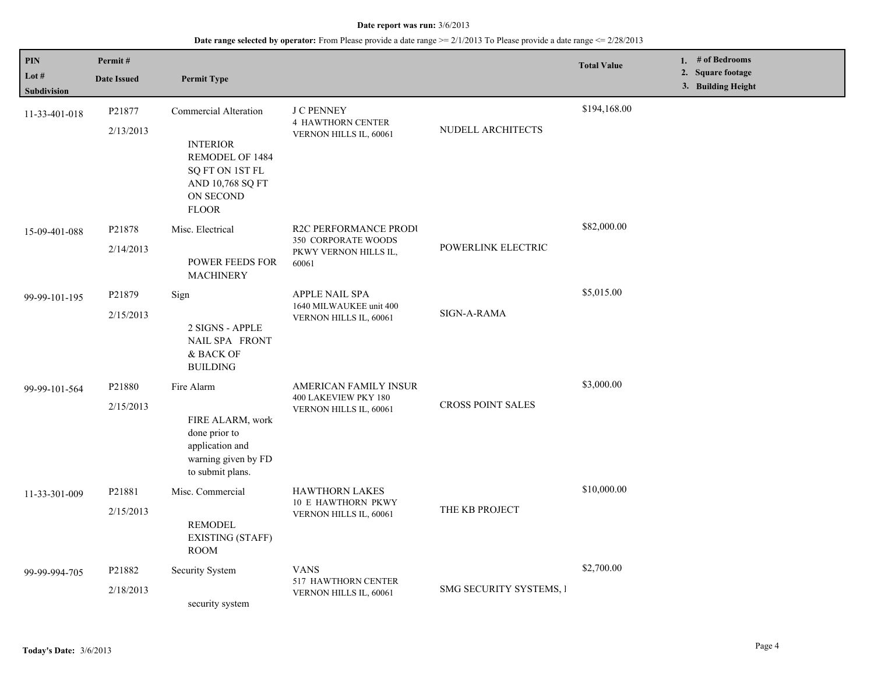| PIN<br>Lot #<br><b>Subdivision</b> | Permit#<br><b>Date Issued</b> | <b>Permit Type</b>                                                                                                              |                                                                                       |                          | <b>Total Value</b> | 1. # of Bedrooms<br>2. Square footage<br>3. Building Height |
|------------------------------------|-------------------------------|---------------------------------------------------------------------------------------------------------------------------------|---------------------------------------------------------------------------------------|--------------------------|--------------------|-------------------------------------------------------------|
| 11-33-401-018                      | P21877<br>2/13/2013           | Commercial Alteration<br><b>INTERIOR</b><br>REMODEL OF 1484<br>SQ FT ON 1ST FL<br>AND 10,768 SQ FT<br>ON SECOND<br><b>FLOOR</b> | <b>J C PENNEY</b><br><b>4 HAWTHORN CENTER</b><br>VERNON HILLS IL, 60061               | NUDELL ARCHITECTS        | \$194,168.00       |                                                             |
| 15-09-401-088                      | P21878<br>2/14/2013           | Misc. Electrical<br><b>POWER FEEDS FOR</b><br><b>MACHINERY</b>                                                                  | <b>R2C PERFORMANCE PRODI</b><br>350 CORPORATE WOODS<br>PKWY VERNON HILLS IL,<br>60061 | POWERLINK ELECTRIC       | \$82,000.00        |                                                             |
| 99-99-101-195                      | P21879<br>2/15/2013           | Sign<br>2 SIGNS - APPLE<br>NAIL SPA FRONT<br>& BACK OF<br><b>BUILDING</b>                                                       | APPLE NAIL SPA<br>1640 MILWAUKEE unit 400<br>VERNON HILLS IL, 60061                   | SIGN-A-RAMA              | \$5,015.00         |                                                             |
| 99-99-101-564                      | P21880<br>2/15/2013           | Fire Alarm<br>FIRE ALARM, work<br>done prior to<br>application and<br>warning given by FD<br>to submit plans.                   | AMERICAN FAMILY INSUR<br>400 LAKEVIEW PKY 180<br>VERNON HILLS IL, 60061               | <b>CROSS POINT SALES</b> | \$3,000.00         |                                                             |
| 11-33-301-009                      | P21881<br>2/15/2013           | Misc. Commercial<br><b>REMODEL</b><br><b>EXISTING (STAFF)</b><br><b>ROOM</b>                                                    | <b>HAWTHORN LAKES</b><br><b>10 E HAWTHORN PKWY</b><br>VERNON HILLS IL, 60061          | THE KB PROJECT           | \$10,000.00        |                                                             |
| 99-99-994-705                      | P21882<br>2/18/2013           | Security System<br>security system                                                                                              | <b>VANS</b><br><b>517 HAWTHORN CENTER</b><br>VERNON HILLS IL, 60061                   | SMG SECURITY SYSTEMS, I  | \$2,700.00         |                                                             |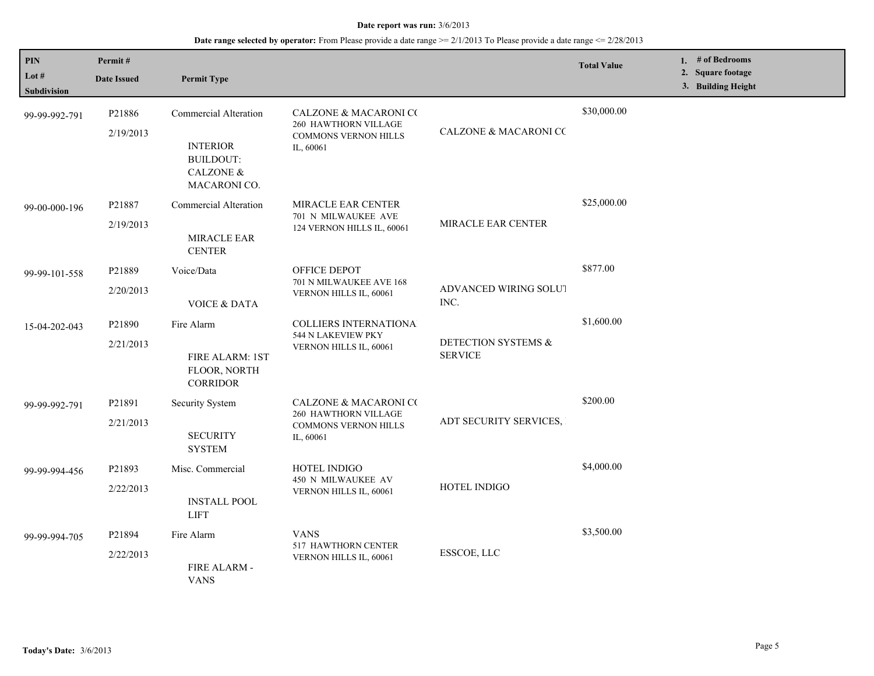| PIN<br>Lot #<br>Subdivision | Permit#<br><b>Date Issued</b> | <b>Permit Type</b>                                                                                          |                                                                                                      |                                       | <b>Total Value</b> | 1. # of Bedrooms<br>2. Square footage<br>3. Building Height |
|-----------------------------|-------------------------------|-------------------------------------------------------------------------------------------------------------|------------------------------------------------------------------------------------------------------|---------------------------------------|--------------------|-------------------------------------------------------------|
| 99-99-992-791               | P21886<br>2/19/2013           | <b>Commercial Alteration</b><br><b>INTERIOR</b><br><b>BUILDOUT:</b><br><b>CALZONE &amp;</b><br>MACARONI CO. | <b>CALZONE &amp; MACARONI CO</b><br>260 HAWTHORN VILLAGE<br><b>COMMONS VERNON HILLS</b><br>IL, 60061 | <b>CALZONE &amp; MACARONI CC</b>      | \$30,000.00        |                                                             |
| 99-00-000-196               | P21887<br>2/19/2013           | Commercial Alteration<br>MIRACLE EAR<br><b>CENTER</b>                                                       | <b>MIRACLE EAR CENTER</b><br>701 N MILWAUKEE AVE<br>124 VERNON HILLS IL, 60061                       | <b>MIRACLE EAR CENTER</b>             | \$25,000.00        |                                                             |
| 99-99-101-558               | P21889<br>2/20/2013           | Voice/Data<br><b>VOICE &amp; DATA</b>                                                                       | OFFICE DEPOT<br>701 N MILWAUKEE AVE 168<br>VERNON HILLS IL, 60061                                    | ADVANCED WIRING SOLUT<br>INC.         | \$877.00           |                                                             |
| 15-04-202-043               | P21890<br>2/21/2013           | Fire Alarm<br>FIRE ALARM: 1ST<br>FLOOR, NORTH<br><b>CORRIDOR</b>                                            | <b>COLLIERS INTERNATIONA</b><br>544 N LAKEVIEW PKY<br>VERNON HILLS IL, 60061                         | DETECTION SYSTEMS &<br><b>SERVICE</b> | \$1,600.00         |                                                             |
| 99-99-992-791               | P21891<br>2/21/2013           | Security System<br><b>SECURITY</b><br><b>SYSTEM</b>                                                         | <b>CALZONE &amp; MACARONI CO</b><br>260 HAWTHORN VILLAGE<br><b>COMMONS VERNON HILLS</b><br>IL, 60061 | ADT SECURITY SERVICES,                | \$200.00           |                                                             |
| 99-99-994-456               | P21893<br>2/22/2013           | Misc. Commercial<br><b>INSTALL POOL</b><br><b>LIFT</b>                                                      | HOTEL INDIGO<br>450 N MILWAUKEE AV<br>VERNON HILLS IL, 60061                                         | HOTEL INDIGO                          | \$4,000.00         |                                                             |
| 99-99-994-705               | P21894<br>2/22/2013           | Fire Alarm<br>FIRE ALARM -<br><b>VANS</b>                                                                   | <b>VANS</b><br>517 HAWTHORN CENTER<br>VERNON HILLS IL, 60061                                         | ESSCOE, LLC                           | \$3,500.00         |                                                             |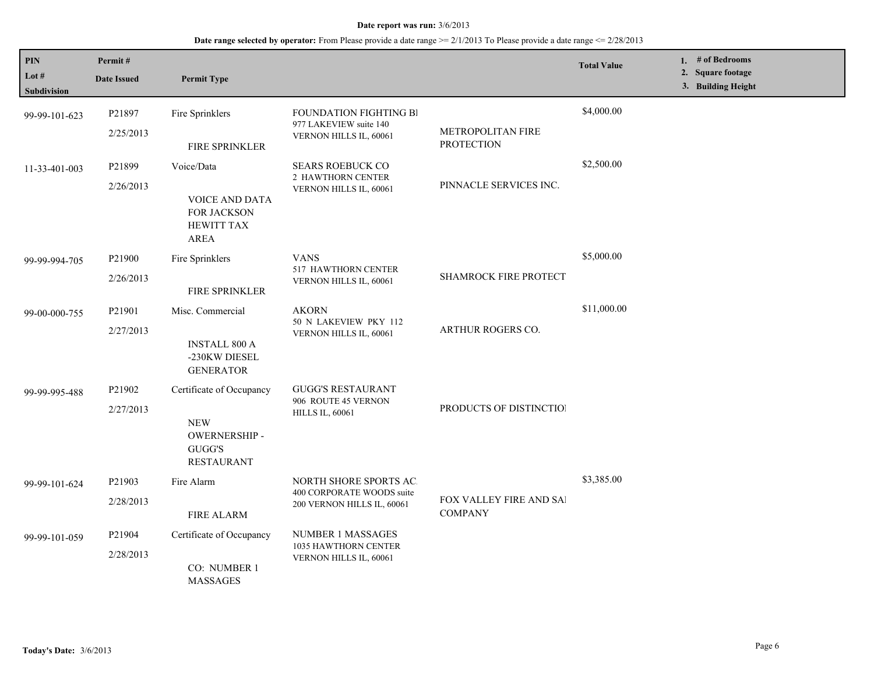| PIN<br>Lot $#$<br><b>Subdivision</b> | Permit#<br><b>Date Issued</b> | <b>Permit Type</b>                                                                           |                                                                                   |                                           | <b>Total Value</b> | 1. # of Bedrooms<br>2. Square footage<br>3. Building Height |
|--------------------------------------|-------------------------------|----------------------------------------------------------------------------------------------|-----------------------------------------------------------------------------------|-------------------------------------------|--------------------|-------------------------------------------------------------|
| 99-99-101-623                        | P21897<br>2/25/2013           | Fire Sprinklers<br>FIRE SPRINKLER                                                            | FOUNDATION FIGHTING BI<br>977 LAKEVIEW suite 140<br>VERNON HILLS IL, 60061        | METROPOLITAN FIRE<br><b>PROTECTION</b>    | \$4,000.00         |                                                             |
| 11-33-401-003                        | P21899<br>2/26/2013           | Voice/Data<br><b>VOICE AND DATA</b><br>FOR JACKSON<br><b>HEWITT TAX</b><br><b>AREA</b>       | <b>SEARS ROEBUCK CO</b><br>2 HAWTHORN CENTER<br>VERNON HILLS IL, 60061            | PINNACLE SERVICES INC.                    | \$2,500.00         |                                                             |
| 99-99-994-705                        | P21900<br>2/26/2013           | Fire Sprinklers<br><b>FIRE SPRINKLER</b>                                                     | <b>VANS</b><br>517 HAWTHORN CENTER<br>VERNON HILLS IL, 60061                      | <b>SHAMROCK FIRE PROTECT</b>              | \$5,000.00         |                                                             |
| 99-00-000-755                        | P21901<br>2/27/2013           | Misc. Commercial<br><b>INSTALL 800 A</b><br>-230KW DIESEL<br><b>GENERATOR</b>                | <b>AKORN</b><br>50 N LAKEVIEW PKY 112<br>VERNON HILLS IL, 60061                   | ARTHUR ROGERS CO.                         | \$11,000.00        |                                                             |
| 99-99-995-488                        | P21902<br>2/27/2013           | Certificate of Occupancy<br><b>NEW</b><br><b>OWERNERSHIP-</b><br>GUGG'S<br><b>RESTAURANT</b> | <b>GUGG'S RESTAURANT</b><br>906 ROUTE 45 VERNON<br><b>HILLS IL, 60061</b>         | PRODUCTS OF DISTINCTION                   |                    |                                                             |
| 99-99-101-624                        | P21903<br>2/28/2013           | Fire Alarm<br><b>FIRE ALARM</b>                                                              | NORTH SHORE SPORTS AC.<br>400 CORPORATE WOODS suite<br>200 VERNON HILLS IL, 60061 | FOX VALLEY FIRE AND SAI<br><b>COMPANY</b> | \$3,385.00         |                                                             |
| 99-99-101-059                        | P21904<br>2/28/2013           | Certificate of Occupancy<br>CO: NUMBER 1<br><b>MASSAGES</b>                                  | <b>NUMBER 1 MASSAGES</b><br>1035 HAWTHORN CENTER<br>VERNON HILLS IL, 60061        |                                           |                    |                                                             |